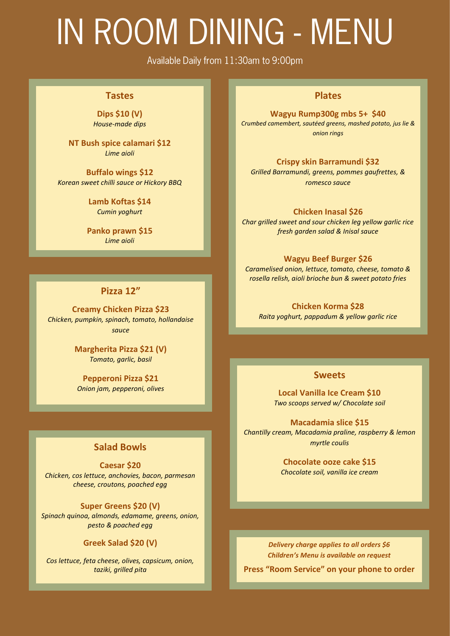## IN ROOM DINING - MENU

Available Daily from 11:30am to 9:00pm

#### **Tastes**

**Dips \$10 (V)** *House-made dips*

**NT Bush spice calamari \$12**  *Lime aioli*

**Buffalo wings \$12** *Korean sweet chilli sauce or Hickory BBQ*

> **Lamb Koftas \$14** *Cumin yoghurt*

**Panko prawn \$15** *Lime aioli*

#### **Pizza 12"**

**Creamy Chicken Pizza \$23** *Chicken, pumpkin, spinach, tomato, hollandaise sauce*

> **Margherita Pizza \$21 (V)** *Tomato, garlic, basil*

**Pepperoni Pizza \$21** *Onion jam, pepperoni, olives*

#### **Salad Bowls**

**Caesar \$20** *Chicken, cos lettuce, anchovies, bacon, parmesan cheese, croutons, poached egg* 

#### **Super Greens \$20 (V)**

*Spinach quinoa, almonds, edamame, greens, onion, pesto & poached egg*

#### **Greek Salad \$20 (V)**

*Cos lettuce, feta cheese, olives, capsicum, onion, taziki, grilled pita*

#### **Plates**

**Wagyu Rump300g mbs 5+ \$40** *Crumbed camembert, sautéed greens, mashed potato, jus lie & onion rings*

#### **Crispy skin Barramundi \$32**

*Grilled Barramundi, greens, pommes gaufrettes, & romesco sauce*

#### **Chicken Inasal \$26**

*Char grilled sweet and sour chicken leg yellow garlic rice fresh garden salad & Inisal sauce*

#### **Wagyu Beef Burger \$26**

*Caramelised onion, lettuce, tomato, cheese, tomato & rosella relish, aioli brioche bun & sweet potato fries*

**Chicken Korma \$28** *Raita yoghurt, pappadum & yellow garlic rice* 

#### **Sweets**

**Local Vanilla Ice Cream \$10** *Two scoops served w/ Chocolate soil*

**Macadamia slice \$15** *Chantilly cream, Macadamia praline, raspberry & lemon myrtle coulis*

> **Chocolate ooze cake \$15** *Chocolate soil, vanilla ice cream*

*Delivery charge applies to all orders \$6 Children's Menu is available on request*

**Press "Room Service" on your phone to order**